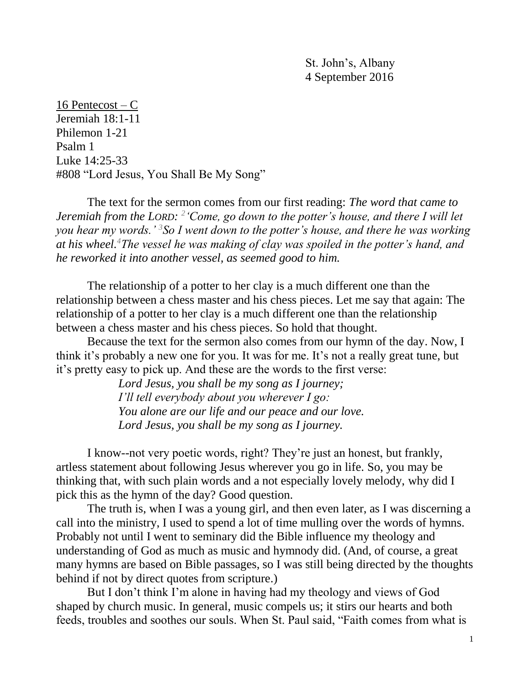St. John's, Albany 4 September 2016

16 Pentecost –  $C$ Jeremiah 18:1-11 Philemon 1-21 Psalm 1 Luke 14:25-33 #808 "Lord Jesus, You Shall Be My Song"

The text for the sermon comes from our first reading: *The word that came to Jeremiah from the LORD: 2 'Come, go down to the potter's house, and there I will let you hear my words.' <sup>3</sup>So I went down to the potter's house, and there he was working at his wheel.<sup>4</sup>The vessel he was making of clay was spoiled in the potter's hand, and he reworked it into another vessel, as seemed good to him.*

The relationship of a potter to her clay is a much different one than the relationship between a chess master and his chess pieces. Let me say that again: The relationship of a potter to her clay is a much different one than the relationship between a chess master and his chess pieces. So hold that thought.

Because the text for the sermon also comes from our hymn of the day. Now, I think it's probably a new one for you. It was for me. It's not a really great tune, but it's pretty easy to pick up. And these are the words to the first verse:

> *Lord Jesus, you shall be my song as I journey; I'll tell everybody about you wherever I go: You alone are our life and our peace and our love. Lord Jesus, you shall be my song as I journey.*

I know--not very poetic words, right? They're just an honest, but frankly, artless statement about following Jesus wherever you go in life. So, you may be thinking that, with such plain words and a not especially lovely melody, why did I pick this as the hymn of the day? Good question.

The truth is, when I was a young girl, and then even later, as I was discerning a call into the ministry, I used to spend a lot of time mulling over the words of hymns. Probably not until I went to seminary did the Bible influence my theology and understanding of God as much as music and hymnody did. (And, of course, a great many hymns are based on Bible passages, so I was still being directed by the thoughts behind if not by direct quotes from scripture.)

But I don't think I'm alone in having had my theology and views of God shaped by church music. In general, music compels us; it stirs our hearts and both feeds, troubles and soothes our souls. When St. Paul said, "Faith comes from what is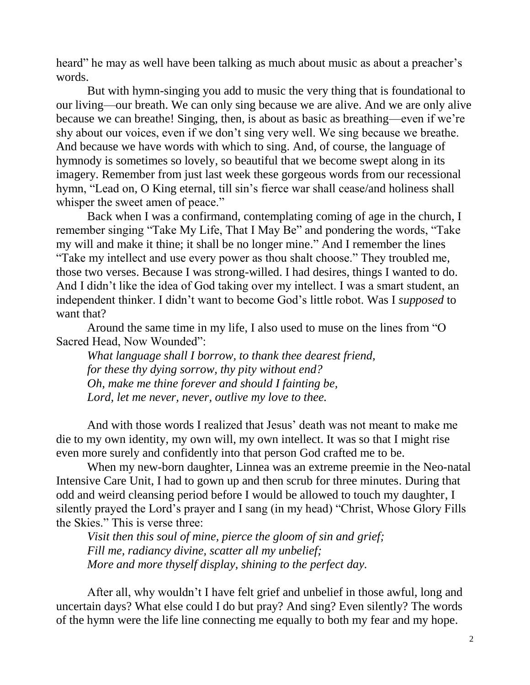heard" he may as well have been talking as much about music as about a preacher's words.

But with hymn-singing you add to music the very thing that is foundational to our living—our breath. We can only sing because we are alive. And we are only alive because we can breathe! Singing, then, is about as basic as breathing—even if we're shy about our voices, even if we don't sing very well. We sing because we breathe. And because we have words with which to sing. And, of course, the language of hymnody is sometimes so lovely, so beautiful that we become swept along in its imagery. Remember from just last week these gorgeous words from our recessional hymn, "Lead on, O King eternal, till sin's fierce war shall cease/and holiness shall whisper the sweet amen of peace."

Back when I was a confirmand, contemplating coming of age in the church, I remember singing "Take My Life, That I May Be" and pondering the words, "Take my will and make it thine; it shall be no longer mine." And I remember the lines "Take my intellect and use every power as thou shalt choose." They troubled me, those two verses. Because I was strong-willed. I had desires, things I wanted to do. And I didn't like the idea of God taking over my intellect. I was a smart student, an independent thinker. I didn't want to become God's little robot. Was I *supposed* to want that?

Around the same time in my life, I also used to muse on the lines from "O Sacred Head, Now Wounded":

*What language shall I borrow, to thank thee dearest friend, for these thy dying sorrow, thy pity without end? Oh, make me thine forever and should I fainting be, Lord, let me never, never, outlive my love to thee.*

And with those words I realized that Jesus' death was not meant to make me die to my own identity, my own will, my own intellect. It was so that I might rise even more surely and confidently into that person God crafted me to be.

When my new-born daughter, Linnea was an extreme preemie in the Neo-natal Intensive Care Unit, I had to gown up and then scrub for three minutes. During that odd and weird cleansing period before I would be allowed to touch my daughter, I silently prayed the Lord's prayer and I sang (in my head) "Christ, Whose Glory Fills the Skies." This is verse three:

*Visit then this soul of mine, pierce the gloom of sin and grief; Fill me, radiancy divine, scatter all my unbelief; More and more thyself display, shining to the perfect day.*

After all, why wouldn't I have felt grief and unbelief in those awful, long and uncertain days? What else could I do but pray? And sing? Even silently? The words of the hymn were the life line connecting me equally to both my fear and my hope.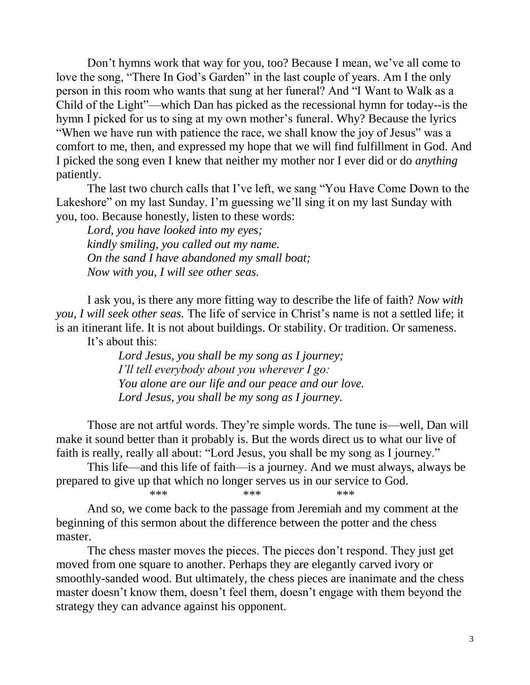Don't hymns work that way for you, too? Because I mean, we've all come to love the song, "There In God's Garden" in the last couple of years. Am I the only person in this room who wants that sung at her funeral? And "I Want to Walk as a Child of the Light"—which Dan has picked as the recessional hymn for today--is the hymn I picked for us to sing at my own mother's funeral. Why? Because the lyrics "When we have run with patience the race, we shall know the joy of Jesus" was a comfort to me, then, and expressed my hope that we will find fulfillment in God. And I picked the song even I knew that neither my mother nor I ever did or do *anything* patiently.

The last two church calls that I've left, we sang "You Have Come Down to the Lakeshore" on my last Sunday. I'm guessing we'll sing it on my last Sunday with you, too. Because honestly, listen to these words:

*Lord, you have looked into my eyes; kindly smiling, you called out my name. On the sand I have abandoned my small boat; Now with you, I will see other seas.*

I ask you, is there any more fitting way to describe the life of faith? *Now with you, I will seek other seas.* The life of service in Christ's name is not a settled life; it is an itinerant life. It is not about buildings. Or stability. Or tradition. Or sameness.

It's about this:

*Lord Jesus, you shall be my song as I journey; I'll tell everybody about you wherever I go: You alone are our life and our peace and our love. Lord Jesus, you shall be my song as I journey.*

Those are not artful words. They're simple words. The tune is—well, Dan will make it sound better than it probably is. But the words direct us to what our live of faith is really, really all about: "Lord Jesus, you shall be my song as I journey."

This life—and this life of faith—is a journey. And we must always, always be prepared to give up that which no longer serves us in our service to God.<br>\*\*\*

\*\*\* \*\*\* \*\*\* \*\*\* And so, we come back to the passage from Jeremiah and my comment at the beginning of this sermon about the difference between the potter and the chess

master.

The chess master moves the pieces. The pieces don't respond. They just get moved from one square to another. Perhaps they are elegantly carved ivory or smoothly-sanded wood. But ultimately, the chess pieces are inanimate and the chess master doesn't know them, doesn't feel them, doesn't engage with them beyond the strategy they can advance against his opponent.